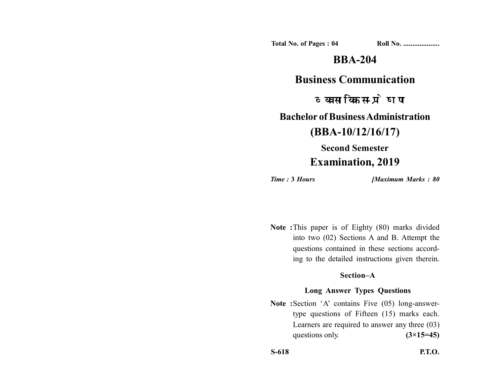**Total No. of Pages : 04 Roll No. ....................**

# **BBA-204**

## **Business Communication**

व्यवसायिक सम्प्रेषण

**Bachelor of Business Administration**

**(BBA-10/12/16/17)**

# **Second Semester Examination, 2019**

*Time :* **3** *Hours [Maximum Marks : 80*

**Note :**This paper is of Eighty (80) marks divided into two (02) Sections A and B. Attempt the questions contained in these sections according to the detailed instructions given therein.

### **Section–A**

### **Long Answer Types Questions**

Note :Section 'A' contains Five (05) long-answertype questions of Fifteen (15) marks each. Learners are required to answer any three (03) questions only.  $(3\times15=45)$ 

**S-618 P.T.O.**